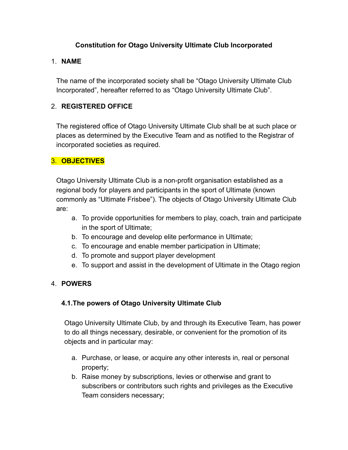## **Constitution for Otago University Ultimate Club Incorporated**

### 1. **NAME**

The name of the incorporated society shall be "Otago University Ultimate Club Incorporated", hereafter referred to as "Otago University Ultimate Club".

# 2. **REGISTERED OFFICE**

The registered office of Otago University Ultimate Club shall be at such place or places as determined by the Executive Team and as notified to the Registrar of incorporated societies as required.

# 3. **OBJECTIVES**

Otago University Ultimate Club is a non-profit organisation established as a regional body for players and participants in the sport of Ultimate (known commonly as "Ultimate Frisbee"). The objects of Otago University Ultimate Club are:

- a. To provide opportunities for members to play, coach, train and participate in the sport of Ultimate;
- b. To encourage and develop elite performance in Ultimate;
- c. To encourage and enable member participation in Ultimate;
- d. To promote and support player development
- e. To support and assist in the development of Ultimate in the Otago region

# 4. **POWERS**

# **4.1.The powers of Otago University Ultimate Club**

Otago University Ultimate Club, by and through its Executive Team, has power to do all things necessary, desirable, or convenient for the promotion of its objects and in particular may:

- a. Purchase, or lease, or acquire any other interests in, real or personal property;
- b. Raise money by subscriptions, levies or otherwise and grant to subscribers or contributors such rights and privileges as the Executive Team considers necessary;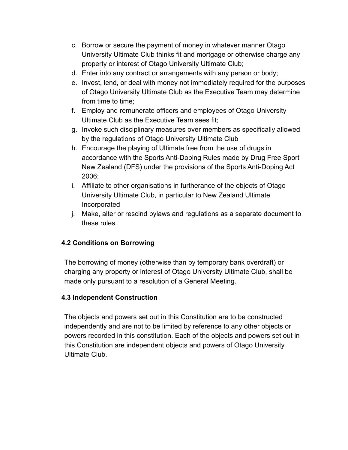- c. Borrow or secure the payment of money in whatever manner Otago University Ultimate Club thinks fit and mortgage or otherwise charge any property or interest of Otago University Ultimate Club;
- d. Enter into any contract or arrangements with any person or body;
- e. Invest, lend, or deal with money not immediately required for the purposes of Otago University Ultimate Club as the Executive Team may determine from time to time;
- f. Employ and remunerate officers and employees of Otago University Ultimate Club as the Executive Team sees fit;
- g. Invoke such disciplinary measures over members as specifically allowed by the regulations of Otago University Ultimate Club
- h. Encourage the playing of Ultimate free from the use of drugs in accordance with the Sports Anti-Doping Rules made by Drug Free Sport New Zealand (DFS) under the provisions of the Sports Anti-Doping Act 2006;
- i. Affiliate to other organisations in furtherance of the objects of Otago University Ultimate Club, in particular to New Zealand Ultimate Incorporated
- j. Make, alter or rescind bylaws and regulations as a separate document to these rules.

# **4.2 Conditions on Borrowing**

The borrowing of money (otherwise than by temporary bank overdraft) or charging any property or interest of Otago University Ultimate Club, shall be made only pursuant to a resolution of a General Meeting.

# **4.3 Independent Construction**

The objects and powers set out in this Constitution are to be constructed independently and are not to be limited by reference to any other objects or powers recorded in this constitution. Each of the objects and powers set out in this Constitution are independent objects and powers of Otago University Ultimate Club.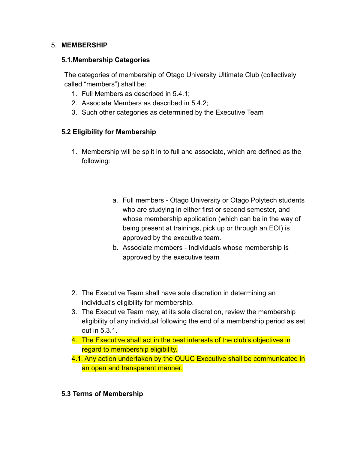#### 5. **MEMBERSHIP**

#### **5.1.Membership Categories**

The categories of membership of Otago University Ultimate Club (collectively called "members") shall be:

- 1. Full Members as described in 5.4.1;
- 2. Associate Members as described in 5.4.2;
- 3. Such other categories as determined by the Executive Team

# **5.2 Eligibility for Membership**

- 1. Membership will be split in to full and associate, which are defined as the following:
	- a. Full members Otago University or Otago Polytech students who are studying in either first or second semester, and whose membership application (which can be in the way of being present at trainings, pick up or through an EOI) is approved by the executive team.
	- b. Associate members Individuals whose membership is approved by the executive team
- 2. The Executive Team shall have sole discretion in determining an individual's eligibility for membership.
- 3. The Executive Team may, at its sole discretion, review the membership eligibility of any individual following the end of a membership period as set out in 5.3.1.
- 4. The Executive shall act in the best interests of the club's objectives in regard to membership eligibility.
- 4.1. Any action undertaken by the OUUC Executive shall be communicated in an open and transparent manner.

### **5.3 Terms of Membership**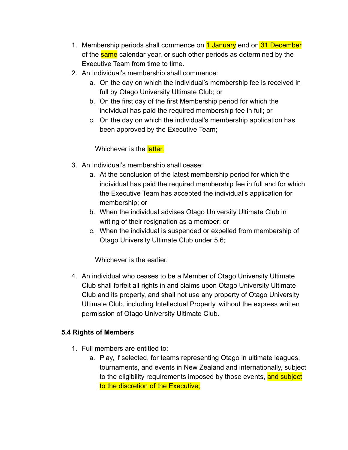- 1. Membership periods shall commence on 1 January end on 31 December of the same calendar year, or such other periods as determined by the Executive Team from time to time.
- 2. An Individual's membership shall commence:
	- a. On the day on which the individual's membership fee is received in full by Otago University Ultimate Club; or
	- b. On the first day of the first Membership period for which the individual has paid the required membership fee in full; or
	- c. On the day on which the individual's membership application has been approved by the Executive Team;

Whichever is the **latter.** 

- 3. An Individual's membership shall cease:
	- a. At the conclusion of the latest membership period for which the individual has paid the required membership fee in full and for which the Executive Team has accepted the individual's application for membership; or
	- b. When the individual advises Otago University Ultimate Club in writing of their resignation as a member; or
	- c. When the individual is suspended or expelled from membership of Otago University Ultimate Club under 5.6;

Whichever is the earlier.

4. An individual who ceases to be a Member of Otago University Ultimate Club shall forfeit all rights in and claims upon Otago University Ultimate Club and its property, and shall not use any property of Otago University Ultimate Club, including Intellectual Property, without the express written permission of Otago University Ultimate Club.

# **5.4 Rights of Members**

- 1. Full members are entitled to:
	- a. Play, if selected, for teams representing Otago in ultimate leagues, tournaments, and events in New Zealand and internationally, subject to the eligibility requirements imposed by those events, and subject to the discretion of the Executive;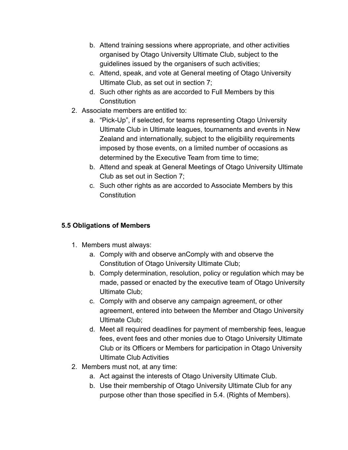- b. Attend training sessions where appropriate, and other activities organised by Otago University Ultimate Club, subject to the guidelines issued by the organisers of such activities;
- c. Attend, speak, and vote at General meeting of Otago University Ultimate Club, as set out in section 7;
- d. Such other rights as are accorded to Full Members by this **Constitution**
- 2. Associate members are entitled to:
	- a. "Pick-Up", if selected, for teams representing Otago University Ultimate Club in Ultimate leagues, tournaments and events in New Zealand and internationally, subject to the eligibility requirements imposed by those events, on a limited number of occasions as determined by the Executive Team from time to time;
	- b. Attend and speak at General Meetings of Otago University Ultimate Club as set out in Section 7;
	- c. Such other rights as are accorded to Associate Members by this **Constitution**

# **5.5 Obligations of Members**

- 1. Members must always:
	- a. Comply with and observe anComply with and observe the Constitution of Otago University Ultimate Club;
	- b. Comply determination, resolution, policy or regulation which may be made, passed or enacted by the executive team of Otago University Ultimate Club;
	- c. Comply with and observe any campaign agreement, or other agreement, entered into between the Member and Otago University Ultimate Club;
	- d. Meet all required deadlines for payment of membership fees, league fees, event fees and other monies due to Otago University Ultimate Club or its Officers or Members for participation in Otago University Ultimate Club Activities
- 2. Members must not, at any time:
	- a. Act against the interests of Otago University Ultimate Club.
	- b. Use their membership of Otago University Ultimate Club for any purpose other than those specified in 5.4. (Rights of Members).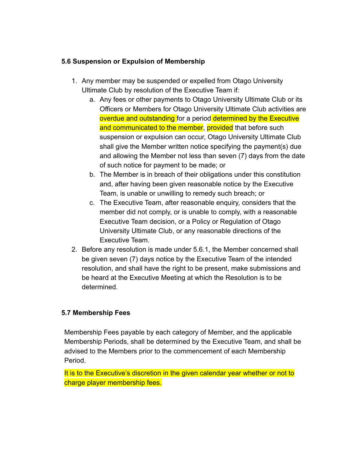## **5.6 Suspension or Expulsion of Membership**

- 1. Any member may be suspended or expelled from Otago University Ultimate Club by resolution of the Executive Team if:
	- a. Any fees or other payments to Otago University Ultimate Club or its Officers or Members for Otago University Ultimate Club activities are overdue and outstanding for a period determined by the Executive and communicated to the member, provided that before such suspension or expulsion can occur, Otago University Ultimate Club shall give the Member written notice specifying the payment(s) due and allowing the Member not less than seven (7) days from the date of such notice for payment to be made; or
	- b. The Member is in breach of their obligations under this constitution and, after having been given reasonable notice by the Executive Team, is unable or unwilling to remedy such breach; or
	- c. The Executive Team, after reasonable enquiry, considers that the member did not comply, or is unable to comply, with a reasonable Executive Team decision, or a Policy or Regulation of Otago University Ultimate Club, or any reasonable directions of the Executive Team.
- 2. Before any resolution is made under 5.6.1, the Member concerned shall be given seven (7) days notice by the Executive Team of the intended resolution, and shall have the right to be present, make submissions and be heard at the Executive Meeting at which the Resolution is to be determined.

### **5.7 Membership Fees**

Membership Fees payable by each category of Member, and the applicable Membership Periods, shall be determined by the Executive Team, and shall be advised to the Members prior to the commencement of each Membership Period.

It is to the Executive's discretion in the given calendar year whether or not to charge player membership fees.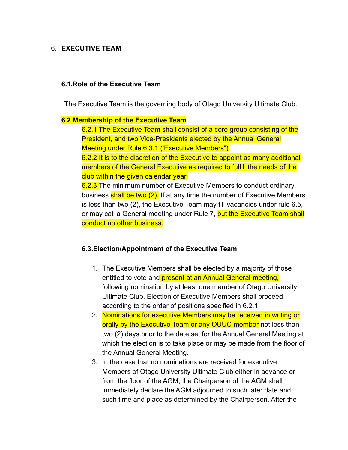#### 6. **EXECUTIVE TEAM**

#### **6.1.Role of the Executive Team**

The Executive Team is the governing body of Otago University Ultimate Club.

#### **6.2.Membership of the Executive Team**

6.2.1 The Executive Team shall consist of a core group consisting of the President, and two Vice-Presidents elected by the Annual General Meeting under Rule 6.3.1 ('Executive Members")

6.2.2 It is to the discretion of the Executive to appoint as many additional members of the General Executive as required to fulfill the needs of the club within the given calendar year.

6.2.3 The minimum number of Executive Members to conduct ordinary business shall be two (2). If at any time the number of Executive Members is less than two (2), the Executive Team may fill vacancies under rule 6.5, or may call a General meeting under Rule 7, but the Executive Team shall conduct no other business.

#### **6.3.Election/Appointment of the Executive Team**

- 1. The Executive Members shall be elected by a majority of those entitled to vote and **present at an Annual General meeting**, following nomination by at least one member of Otago University Ultimate Club. Election of Executive Members shall proceed according to the order of positions specified in 6.2.1.
- 2. Nominations for executive Members may be received in writing or orally by the Executive Team or any OUUC member not less than two (2) days prior to the date set for the Annual General Meeting at which the election is to take place or may be made from the floor of the Annual General Meeting.
- 3. In the case that no nominations are received for executive Members of Otago University Ultimate Club either in advance or from the floor of the AGM, the Chairperson of the AGM shall immediately declare the AGM adjourned to such later date and such time and place as determined by the Chairperson. After the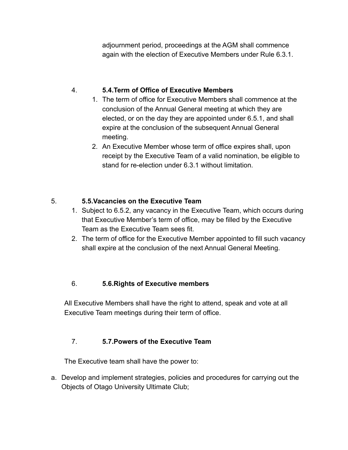adjournment period, proceedings at the AGM shall commence again with the election of Executive Members under Rule 6.3.1.

# 4. **5.4.Term of Office of Executive Members**

- 1. The term of office for Executive Members shall commence at the conclusion of the Annual General meeting at which they are elected, or on the day they are appointed under 6.5.1, and shall expire at the conclusion of the subsequent Annual General meeting.
- 2. An Executive Member whose term of office expires shall, upon receipt by the Executive Team of a valid nomination, be eligible to stand for re-election under 6.3.1 without limitation.

# 5. **5.5.Vacancies on the Executive Team**

- 1. Subject to 6.5.2, any vacancy in the Executive Team, which occurs during that Executive Member's term of office, may be filled by the Executive Team as the Executive Team sees fit.
- 2. The term of office for the Executive Member appointed to fill such vacancy shall expire at the conclusion of the next Annual General Meeting.

# 6. **5.6.Rights of Executive members**

All Executive Members shall have the right to attend, speak and vote at all Executive Team meetings during their term of office.

# 7. **5.7.Powers of the Executive Team**

The Executive team shall have the power to:

a. Develop and implement strategies, policies and procedures for carrying out the Objects of Otago University Ultimate Club;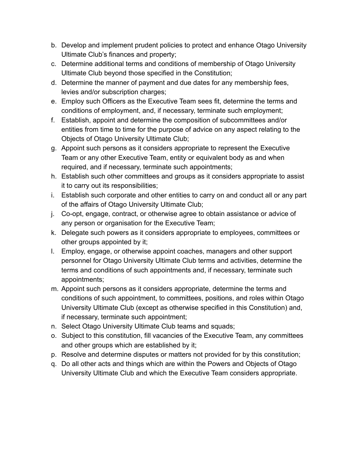- b. Develop and implement prudent policies to protect and enhance Otago University Ultimate Club's finances and property;
- c. Determine additional terms and conditions of membership of Otago University Ultimate Club beyond those specified in the Constitution;
- d. Determine the manner of payment and due dates for any membership fees, levies and/or subscription charges;
- e. Employ such Officers as the Executive Team sees fit, determine the terms and conditions of employment, and, if necessary, terminate such employment;
- f. Establish, appoint and determine the composition of subcommittees and/or entities from time to time for the purpose of advice on any aspect relating to the Objects of Otago University Ultimate Club;
- g. Appoint such persons as it considers appropriate to represent the Executive Team or any other Executive Team, entity or equivalent body as and when required, and if necessary, terminate such appointments;
- h. Establish such other committees and groups as it considers appropriate to assist it to carry out its responsibilities;
- i. Establish such corporate and other entities to carry on and conduct all or any part of the affairs of Otago University Ultimate Club;
- j. Co-opt, engage, contract, or otherwise agree to obtain assistance or advice of any person or organisation for the Executive Team;
- k. Delegate such powers as it considers appropriate to employees, committees or other groups appointed by it;
- l. Employ, engage, or otherwise appoint coaches, managers and other support personnel for Otago University Ultimate Club terms and activities, determine the terms and conditions of such appointments and, if necessary, terminate such appointments;
- m. Appoint such persons as it considers appropriate, determine the terms and conditions of such appointment, to committees, positions, and roles within Otago University Ultimate Club (except as otherwise specified in this Constitution) and, if necessary, terminate such appointment;
- n. Select Otago University Ultimate Club teams and squads;
- o. Subject to this constitution, fill vacancies of the Executive Team, any committees and other groups which are established by it;
- p. Resolve and determine disputes or matters not provided for by this constitution;
- q. Do all other acts and things which are within the Powers and Objects of Otago University Ultimate Club and which the Executive Team considers appropriate.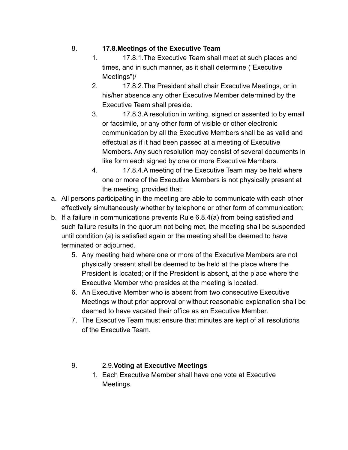# 8. **17.8.Meetings of the Executive Team**

- 1. 17.8.1.The Executive Team shall meet at such places and times, and in such manner, as it shall determine ("Executive Meetings")/
- 2. 17.8.2.The President shall chair Executive Meetings, or in his/her absence any other Executive Member determined by the Executive Team shall preside.
- 3. 17.8.3.A resolution in writing, signed or assented to by email or facsimile, or any other form of visible or other electronic communication by all the Executive Members shall be as valid and effectual as if it had been passed at a meeting of Executive Members. Any such resolution may consist of several documents in like form each signed by one or more Executive Members.
- 4. 17.8.4.A meeting of the Executive Team may be held where one or more of the Executive Members is not physically present at the meeting, provided that:
- a. All persons participating in the meeting are able to communicate with each other effectively simultaneously whether by telephone or other form of communication;
- b. If a failure in communications prevents Rule 6.8.4(a) from being satisfied and such failure results in the quorum not being met, the meeting shall be suspended until condition (a) is satisfied again or the meeting shall be deemed to have terminated or adjourned.
	- 5. Any meeting held where one or more of the Executive Members are not physically present shall be deemed to be held at the place where the President is located; or if the President is absent, at the place where the Executive Member who presides at the meeting is located.
	- 6. An Executive Member who is absent from two consecutive Executive Meetings without prior approval or without reasonable explanation shall be deemed to have vacated their office as an Executive Member.
	- 7. The Executive Team must ensure that minutes are kept of all resolutions of the Executive Team.
	- 9. 2.9.**Voting at Executive Meetings**
		- 1. Each Executive Member shall have one vote at Executive Meetings.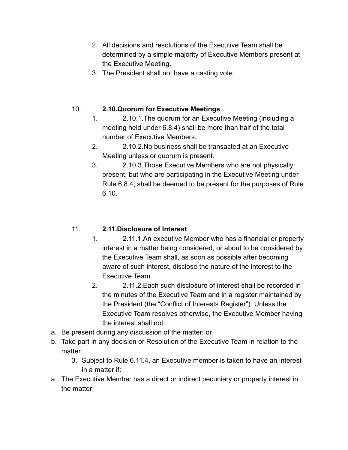- 2. All decisions and resolutions of the Executive Team shall be determined by a simple majority of Executive Members present at the Executive Meeting.
- 3. The President shall not have a casting vote

# 10. **2.10.Quorum for Executive Meetings**

- 1. 2.10.1.The quorum for an Executive Meeting (including a meeting held under 6.8.4) shall be more than half of the total number of Executive Members.
- 2. 2.10.2.No business shall be transacted at an Executive Meeting unless or quorum is present.
- 3. 2.10.3.Those Executive Members who are not physically present, but who are participating in the Executive Meeting under Rule 6.8.4, shall be deemed to be present for the purposes of Rule 6.10.

# 11. **2.11.Disclosure of Interest**

- 1. 2.11.1.An executive Member who has a financial or property interest in a matter being considered, or about to be considered by the Executive Team shall, as soon as possible after becoming aware of such interest, disclose the nature of the interest to the Executive Team.
- 2. 2.11.2.Each such disclosure of interest shall be recorded in the minutes of the Executive Team and in a register maintained by the President (the "Conflict of Interests Register"). Unless the Executive Team resolves otherwise, the Executive Member having the interest shall not:
- a. Be present during any discussion of the matter; or
- b. Take part in any decision or Resolution of the Executive Team in relation to the matter
	- 3. Subject to Rule 6.11.4, an Executive member is taken to have an interest in a matter if:
- a. The Executive Member has a direct or indirect pecuniary or property interest in the matter;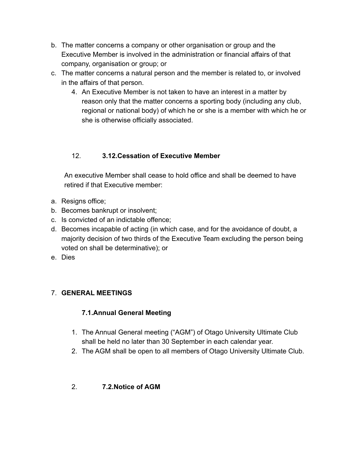- b. The matter concerns a company or other organisation or group and the Executive Member is involved in the administration or financial affairs of that company, organisation or group; or
- c. The matter concerns a natural person and the member is related to, or involved in the affairs of that person.
	- 4. An Executive Member is not taken to have an interest in a matter by reason only that the matter concerns a sporting body (including any club, regional or national body) of which he or she is a member with which he or she is otherwise officially associated.

# 12. **3.12.Cessation of Executive Member**

An executive Member shall cease to hold office and shall be deemed to have retired if that Executive member:

- a. Resigns office;
- b. Becomes bankrupt or insolvent;
- c. Is convicted of an indictable offence;
- d. Becomes incapable of acting (in which case, and for the avoidance of doubt, a majority decision of two thirds of the Executive Team excluding the person being voted on shall be determinative); or
- e. Dies

# 7. **GENERAL MEETINGS**

# **7.1.Annual General Meeting**

- 1. The Annual General meeting ("AGM") of Otago University Ultimate Club shall be held no later than 30 September in each calendar year.
- 2. The AGM shall be open to all members of Otago University Ultimate Club.
- 2. **7.2.Notice of AGM**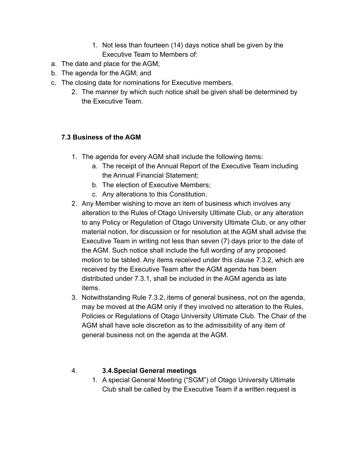- 1. Not less than fourteen (14) days notice shall be given by the Executive Team to Members of:
- a. The date and place for the AGM;
- b. The agenda for the AGM; and
- c. The closing date for nominations for Executive members.
	- 2. The manner by which such notice shall be given shall be determined by the Executive Team.

# **7.3 Business of the AGM**

- 1. The agenda for every AGM shall include the following items:
	- a. The receipt of the Annual Report of the Executive Team including the Annual Financial Statement;
	- b. The election of Executive Members;
	- c. Any alterations to this Constitution.
- 2. Any Member wishing to move an item of business which involves any alteration to the Rules of Otago University Ultimate Club, or any alteration to any Policy or Regulation of Otago University Ultimate Club, or any other material notion, for discussion or for resolution at the AGM shall advise the Executive Team in writing not less than seven (7) days prior to the date of the AGM. Such notice shall include the full wording of any proposed motion to be tabled. Any items received under this clause 7.3.2, which are received by the Executive Team after the AGM agenda has been distributed under 7.3.1, shall be included in the AGM agenda as late items.
- 3. Notwithstanding Rule 7.3.2, items of general business, not on the agenda, may be moved at the AGM only if they involved no alteration to the Rules, Policies or Regulations of Otago University Ultimate Club. The Chair of the AGM shall have sole discretion as to the admissibility of any item of general business not on the agenda at the AGM.

# 4. **3.4.Special General meetings**

1. A special General Meeting ("SGM") of Otago University Ultimate Club shall be called by the Executive Team if a written request is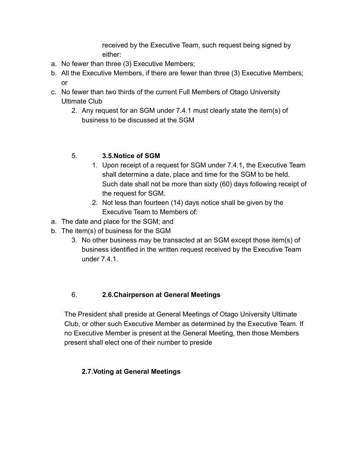received by the Executive Team, such request being signed by either:

- a. No fewer than three (3) Executive Members;
- b. All the Executive Members, if there are fewer than three (3) Executive Members; or
- c. No fewer than two thirds of the current Full Members of Otago University Ultimate Club
	- 2. Any request for an SGM under 7.4.1 must clearly state the item(s) of business to be discussed at the SGM

# 5. **3.5.Notice of SGM**

- 1. Upon receipt of a request for SGM under 7.4.1, the Executive Team shall determine a date, place and time for the SGM to be held. Such date shall not be more than sixty (60) days following receipt of the request for SGM.
- 2. Not less than fourteen (14) days notice shall be given by the Executive Team to Members of:
- a. The date and place for the SGM; and
- b. The item(s) of business for the SGM
	- 3. No other business may be transacted at an SGM except those item(s) of business identified in the written request received by the Executive Team under 7.4.1.

# 6. **2.6.Chairperson at General Meetings**

The President shall preside at General Meetings of Otago University Ultimate Club, or other such Executive Member as determined by the Executive Team. If no Executive Member is present at the General Meeting, then those Members present shall elect one of their number to preside

# **2.7.Voting at General Meetings**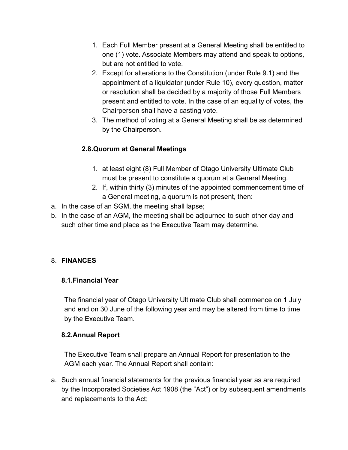- 1. Each Full Member present at a General Meeting shall be entitled to one (1) vote. Associate Members may attend and speak to options, but are not entitled to vote.
- 2. Except for alterations to the Constitution (under Rule 9.1) and the appointment of a liquidator (under Rule 10), every question, matter or resolution shall be decided by a majority of those Full Members present and entitled to vote. In the case of an equality of votes, the Chairperson shall have a casting vote.
- 3. The method of voting at a General Meeting shall be as determined by the Chairperson.

# **2.8.Quorum at General Meetings**

- 1. at least eight (8) Full Member of Otago University Ultimate Club must be present to constitute a quorum at a General Meeting.
- 2. If, within thirty (3) minutes of the appointed commencement time of a General meeting, a quorum is not present, then:
- a. In the case of an SGM, the meeting shall lapse;
- b. In the case of an AGM, the meeting shall be adjourned to such other day and such other time and place as the Executive Team may determine.

# 8. **FINANCES**

# **8.1.Financial Year**

The financial year of Otago University Ultimate Club shall commence on 1 July and end on 30 June of the following year and may be altered from time to time by the Executive Team.

# **8.2.Annual Report**

The Executive Team shall prepare an Annual Report for presentation to the AGM each year. The Annual Report shall contain:

a. Such annual financial statements for the previous financial year as are required by the Incorporated Societies Act 1908 (the "Act") or by subsequent amendments and replacements to the Act;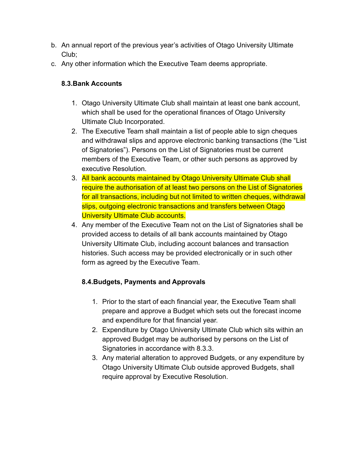- b. An annual report of the previous year's activities of Otago University Ultimate Club;
- c. Any other information which the Executive Team deems appropriate.

## **8.3.Bank Accounts**

- 1. Otago University Ultimate Club shall maintain at least one bank account, which shall be used for the operational finances of Otago University Ultimate Club Incorporated.
- 2. The Executive Team shall maintain a list of people able to sign cheques and withdrawal slips and approve electronic banking transactions (the "List of Signatories"). Persons on the List of Signatories must be current members of the Executive Team, or other such persons as approved by executive Resolution.
- 3. All bank accounts maintained by Otago University Ultimate Club shall require the authorisation of at least two persons on the List of Signatories for all transactions, including but not limited to written cheques, withdrawal slips, outgoing electronic transactions and transfers between Otago University Ultimate Club accounts.
- 4. Any member of the Executive Team not on the List of Signatories shall be provided access to details of all bank accounts maintained by Otago University Ultimate Club, including account balances and transaction histories. Such access may be provided electronically or in such other form as agreed by the Executive Team.

# **8.4.Budgets, Payments and Approvals**

- 1. Prior to the start of each financial year, the Executive Team shall prepare and approve a Budget which sets out the forecast income and expenditure for that financial year.
- 2. Expenditure by Otago University Ultimate Club which sits within an approved Budget may be authorised by persons on the List of Signatories in accordance with 8.3.3.
- 3. Any material alteration to approved Budgets, or any expenditure by Otago University Ultimate Club outside approved Budgets, shall require approval by Executive Resolution.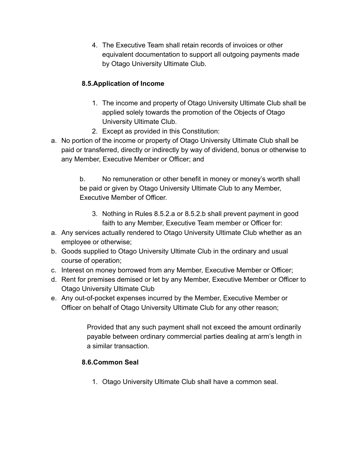4. The Executive Team shall retain records of invoices or other equivalent documentation to support all outgoing payments made by Otago University Ultimate Club.

# **8.5.Application of Income**

- 1. The income and property of Otago University Ultimate Club shall be applied solely towards the promotion of the Objects of Otago University Ultimate Club.
- 2. Except as provided in this Constitution:
- a. No portion of the income or property of Otago University Ultimate Club shall be paid or transferred, directly or indirectly by way of dividend, bonus or otherwise to any Member, Executive Member or Officer; and

b. No remuneration or other benefit in money or money's worth shall be paid or given by Otago University Ultimate Club to any Member, Executive Member of Officer.

- 3. Nothing in Rules 8.5.2.a or 8.5.2.b shall prevent payment in good faith to any Member, Executive Team member or Officer for:
- a. Any services actually rendered to Otago University Ultimate Club whether as an employee or otherwise;
- b. Goods supplied to Otago University Ultimate Club in the ordinary and usual course of operation;
- c. Interest on money borrowed from any Member, Executive Member or Officer;
- d. Rent for premises demised or let by any Member, Executive Member or Officer to Otago University Ultimate Club
- e. Any out-of-pocket expenses incurred by the Member, Executive Member or Officer on behalf of Otago University Ultimate Club for any other reason;

Provided that any such payment shall not exceed the amount ordinarily payable between ordinary commercial parties dealing at arm's length in a similar transaction.

# **8.6.Common Seal**

1. Otago University Ultimate Club shall have a common seal.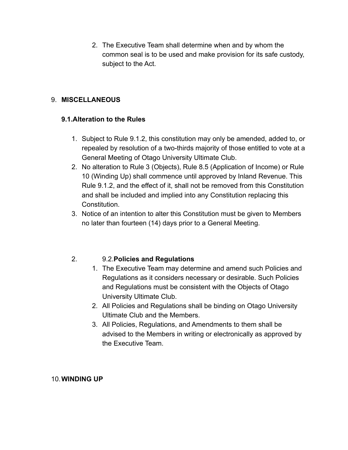2. The Executive Team shall determine when and by whom the common seal is to be used and make provision for its safe custody, subject to the Act.

## 9. **MISCELLANEOUS**

### **9.1.Alteration to the Rules**

- 1. Subject to Rule 9.1.2, this constitution may only be amended, added to, or repealed by resolution of a two-thirds majority of those entitled to vote at a General Meeting of Otago University Ultimate Club.
- 2. No alteration to Rule 3 (Objects), Rule 8.5 (Application of Income) or Rule 10 (Winding Up) shall commence until approved by Inland Revenue. This Rule 9.1.2, and the effect of it, shall not be removed from this Constitution and shall be included and implied into any Constitution replacing this **Constitution**
- 3. Notice of an intention to alter this Constitution must be given to Members no later than fourteen (14) days prior to a General Meeting.

# 2. 9.2.**Policies and Regulations**

- 1. The Executive Team may determine and amend such Policies and Regulations as it considers necessary or desirable. Such Policies and Regulations must be consistent with the Objects of Otago University Ultimate Club.
- 2. All Policies and Regulations shall be binding on Otago University Ultimate Club and the Members.
- 3. All Policies, Regulations, and Amendments to them shall be advised to the Members in writing or electronically as approved by the Executive Team.

### 10.**WINDING UP**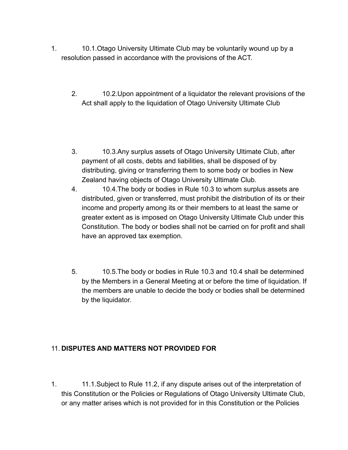- 1. 10.1.Otago University Ultimate Club may be voluntarily wound up by a resolution passed in accordance with the provisions of the ACT.
	- 2. 10.2.Upon appointment of a liquidator the relevant provisions of the Act shall apply to the liquidation of Otago University Ultimate Club
	- 3. 10.3.Any surplus assets of Otago University Ultimate Club, after payment of all costs, debts and liabilities, shall be disposed of by distributing, giving or transferring them to some body or bodies in New Zealand having objects of Otago University Ultimate Club.
	- 4. 10.4.The body or bodies in Rule 10.3 to whom surplus assets are distributed, given or transferred, must prohibit the distribution of its or their income and property among its or their members to at least the same or greater extent as is imposed on Otago University Ultimate Club under this Constitution. The body or bodies shall not be carried on for profit and shall have an approved tax exemption.
	- 5. 10.5.The body or bodies in Rule 10.3 and 10.4 shall be determined by the Members in a General Meeting at or before the time of liquidation. If the members are unable to decide the body or bodies shall be determined by the liquidator.

### 11. **DISPUTES AND MATTERS NOT PROVIDED FOR**

1. 11.1.Subject to Rule 11.2, if any dispute arises out of the interpretation of this Constitution or the Policies or Regulations of Otago University Ultimate Club, or any matter arises which is not provided for in this Constitution or the Policies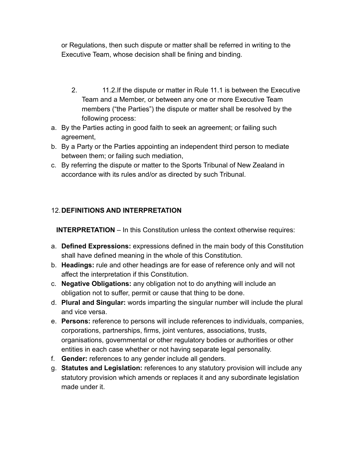or Regulations, then such dispute or matter shall be referred in writing to the Executive Team, whose decision shall be fining and binding.

- 2. 11.2.If the dispute or matter in Rule 11.1 is between the Executive Team and a Member, or between any one or more Executive Team members ("the Parties") the dispute or matter shall be resolved by the following process:
- a. By the Parties acting in good faith to seek an agreement; or failing such agreement,
- b. By a Party or the Parties appointing an independent third person to mediate between them; or failing such mediation,
- c. By referring the dispute or matter to the Sports Tribunal of New Zealand in accordance with its rules and/or as directed by such Tribunal.

# 12.**DEFINITIONS AND INTERPRETATION**

**INTERPRETATION** – In this Constitution unless the context otherwise requires:

- a. **Defined Expressions:** expressions defined in the main body of this Constitution shall have defined meaning in the whole of this Constitution.
- b. **Headings:** rule and other headings are for ease of reference only and will not affect the interpretation if this Constitution.
- c. **Negative Obligations:** any obligation not to do anything will include an obligation not to suffer, permit or cause that thing to be done.
- d. **Plural and Singular:** words imparting the singular number will include the plural and vice versa.
- e. **Persons:** reference to persons will include references to individuals, companies, corporations, partnerships, firms, joint ventures, associations, trusts, organisations, governmental or other regulatory bodies or authorities or other entities in each case whether or not having separate legal personality.
- f. **Gender:** references to any gender include all genders.
- g. **Statutes and Legislation:** references to any statutory provision will include any statutory provision which amends or replaces it and any subordinate legislation made under it.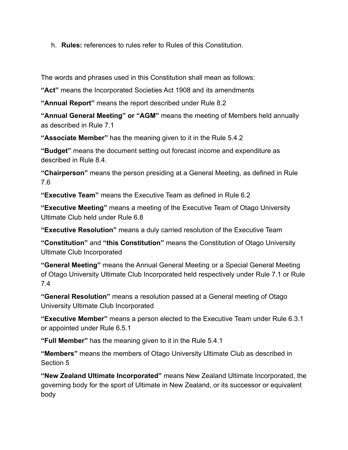h. **Rules:** references to rules refer to Rules of this Constitution.

The words and phrases used in this Constitution shall mean as follows:

**"Act"** means the Incorporated Societies Act 1908 and its amendments

**"Annual Report"** means the report described under Rule 8.2

**"Annual General Meeting" or "AGM"** means the meeting of Members held annually as described in Rule 7.1

**"Associate Member"** has the meaning given to it in the Rule 5.4.2

**"Budget"** means the document setting out forecast income and expenditure as described in Rule 8.4.

**"Chairperson"** means the person presiding at a General Meeting, as defined in Rule 7.6

**"Executive Team"** means the Executive Team as defined in Rule 6.2

**"Executive Meeting"** means a meeting of the Executive Team of Otago University Ultimate Club held under Rule 6.8

**"Executive Resolution"** means a duly carried resolution of the Executive Team

**"Constitution"** and **"this Constitution"** means the Constitution of Otago University Ultimate Club Incorporated

**"General Meeting"** means the Annual General Meeting or a Special General Meeting of Otago University Ultimate Club Incorporated held respectively under Rule 7.1 or Rule 7.4

**"General Resolution"** means a resolution passed at a General meeting of Otago University Ultimate Club Incorporated

**"Executive Member"** means a person elected to the Executive Team under Rule 6.3.1 or appointed under Rule 6.5.1

**"Full Member"** has the meaning given to it in the Rule 5.4.1

**"Members"** means the members of Otago University Ultimate Club as described in Section 5

**"New Zealand Ultimate Incorporated"** means New Zealand Ultimate Incorporated, the governing body for the sport of Ultimate in New Zealand, or its successor or equivalent body